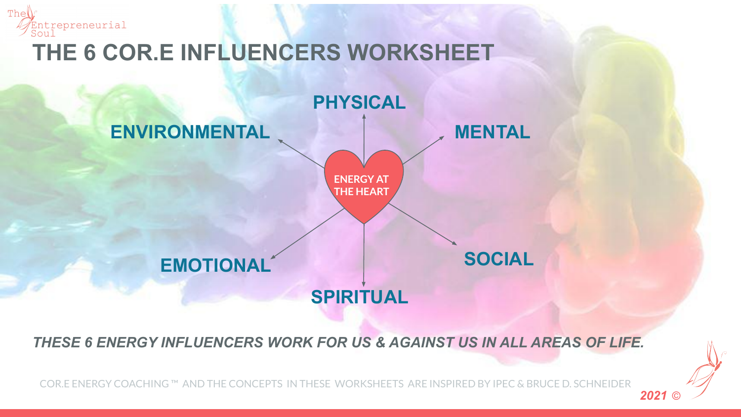



*THESE 6 ENERGY INFLUENCERS WORK FOR US & AGAINST US IN ALL AREAS OF LIFE.*

COR.E ENERGY COACHING ™ AND THE CONCEPTS IN THESE WORKSHEETS ARE INSPIRED BY IPEC & BRUCE D. SCHNEIDER

*2021* ©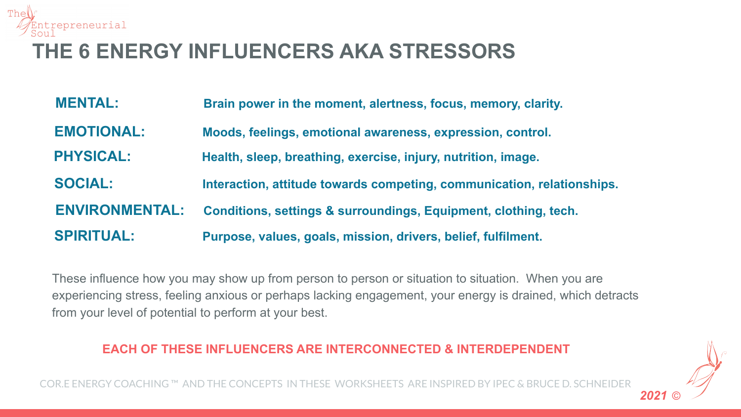

## **THE 6 ENERGY INFLUENCERS AKA STRESSORS**

| <b>MENTAL:</b>        | Brain power in the moment, alertness, focus, memory, clarity.              |
|-----------------------|----------------------------------------------------------------------------|
| <b>EMOTIONAL:</b>     | Moods, feelings, emotional awareness, expression, control.                 |
| <b>PHYSICAL:</b>      | Health, sleep, breathing, exercise, injury, nutrition, image.              |
| <b>SOCIAL:</b>        | Interaction, attitude towards competing, communication, relationships.     |
| <b>ENVIRONMENTAL:</b> | <b>Conditions, settings &amp; surroundings, Equipment, clothing, tech.</b> |
| <b>SPIRITUAL:</b>     | Purpose, values, goals, mission, drivers, belief, fulfilment.              |

These influence how you may show up from person to person or situation to situation. When you are experiencing stress, feeling anxious or perhaps lacking engagement, your energy is drained, which detracts from your level of potential to perform at your best.

## **EACH OF THESE INFLUENCERS ARE INTERCONNECTED & INTERDEPENDENT**

COR.E ENERGY COACHING™ AND THE CONCEPTS IN THESE WORKSHEETS ARE INSPIRED BY IPEC

*2021* ©